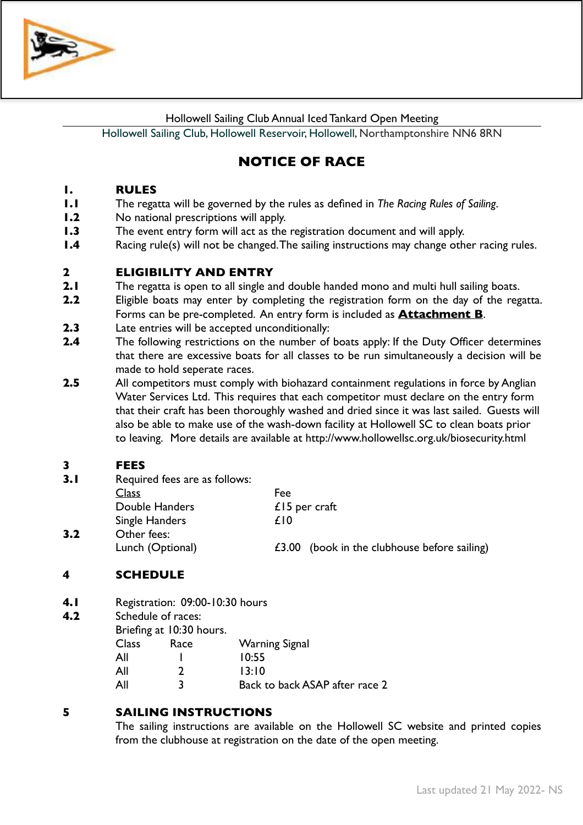

Hollowell Sailing Club Annual Iced Tankard Open Meeting

Hollowell Sailing Club, Hollowell Reservoir, Hollowell, Northamptonshire NN6 8RN

# **NOTICE OF RACE**

# **1. RULES**

- **1.1** The regatta will be governed by the rules as defined in *The Racing Rules of Sailing*.
- **1.2** No national prescriptions will apply.
- **1.3** The event entry form will act as the registration document and will apply.
- **1.4** Racing rule(s) will not be changed. The sailing instructions may change other racing rules.

# **2 ELIGIBILITY AND ENTRY**

- **2.1** The regatta is open to all single and double handed mono and multi hull sailing boats.
- **2.2** Eligible boats may enter by completing the registration form on the day of the regatta. Forms can be pre-completed. An entry form is included as **Attachment B**.
- **2.3** Late entries will be accepted unconditionally:
- **2.4** The following restrictions on the number of boats apply: If the Duty Officer determines that there are excessive boats for all classes to be run simultaneously a decision will be made to hold seperate races.
- **2.5** All competitors must comply with biohazard containment regulations in force by Anglian Water Services Ltd. This requires that each competitor must declare on the entry form that their craft has been thoroughly washed and dried since it was last sailed. Guests will also be able to make use of the wash-down facility at Hollowell SC to clean boats prior to leaving.More details are available at http://www.hollowellsc.org.uk/biosecurity.html

# **3 FEES**

| (book in the clubhouse before sailing) |
|----------------------------------------|
|                                        |

# **4 SCHEDULE**

- **4.1** Registration: 09:00-10:30 hours
- **4.2** Schedule of races:

Briefing at 10:30 hours. Class Race Warning Signal All 1 10:55 All 2 13:10 All 3 Back to back ASAP after race 2

# **5 SAILING INSTRUCTIONS**

The sailing instructions are available on the Hollowell SC website and printed copies from the clubhouse at registration on the date of the open meeting.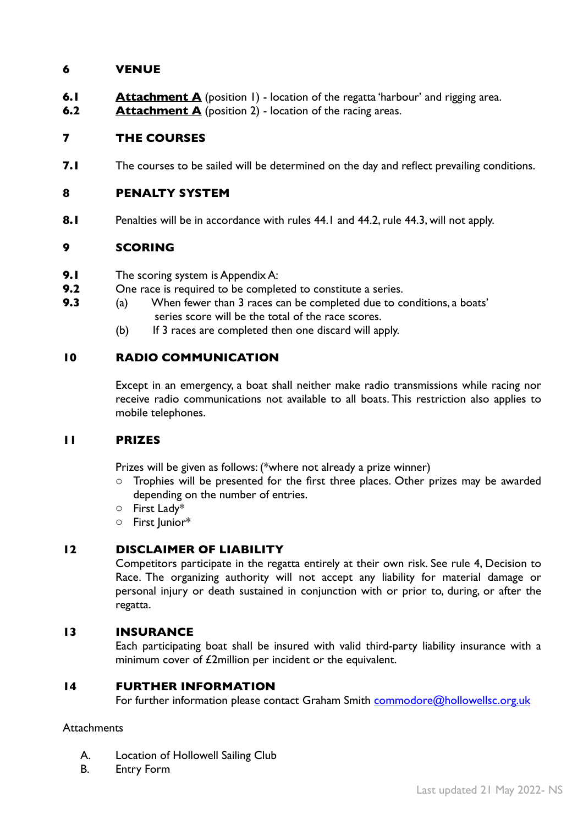# **6 VENUE**

- **6.1 Attachment A** (position 1) location of the regatta 'harbour' and rigging area.
- **6.2 Attachment A** (position 2) location of the racing areas.

# **7 THE COURSES**

**7.1** The courses to be sailed will be determined on the day and reflect prevailing conditions.

#### **8 PENALTY SYSTEM**

**8.1** Penalties will be in accordance with rules 44.1 and 44.2, rule 44.3, will not apply.

# **9 SCORING**

- **9.1** The scoring system is Appendix A:
- **9.2** One race is required to be completed to constitute a series.
- **9.3** (a) When fewer than 3 races can be completed due to conditions, a boats' series score will be the total of the race scores.
	- (b) If 3 races are completed then one discard will apply.

# **10 RADIO COMMUNICATION**

Except in an emergency, a boat shall neither make radio transmissions while racing nor receive radio communications not available to all boats. This restriction also applies to mobile telephones.

# **11 PRIZES**

Prizes will be given as follows: (\*where not already a prize winner)

- Trophies will be presented for the first three places. Other prizes may be awarded depending on the number of entries.
- o First Lady\*
- o First Junior\*

# **12 DISCLAIMER OF LIABILITY**

Competitors participate in the regatta entirely at their own risk. See rule 4, Decision to Race. The organizing authority will not accept any liability for material damage or personal injury or death sustained in conjunction with or prior to, during, or after the regatta.

# **13 INSURANCE**

Each participating boat shall be insured with valid third-party liability insurance with a minimum cover of £2million per incident or the equivalent.

# **14 FURTHER INFORMATION**

For further information please contact Graham Smith [commodore@hollowellsc.org.uk](mailto:commodore@hollowellsc.org.uk?subject=Iced%20Tankard%20Open)

# **Attachments**

- A. Location of Hollowell Sailing Club
- B. Entry Form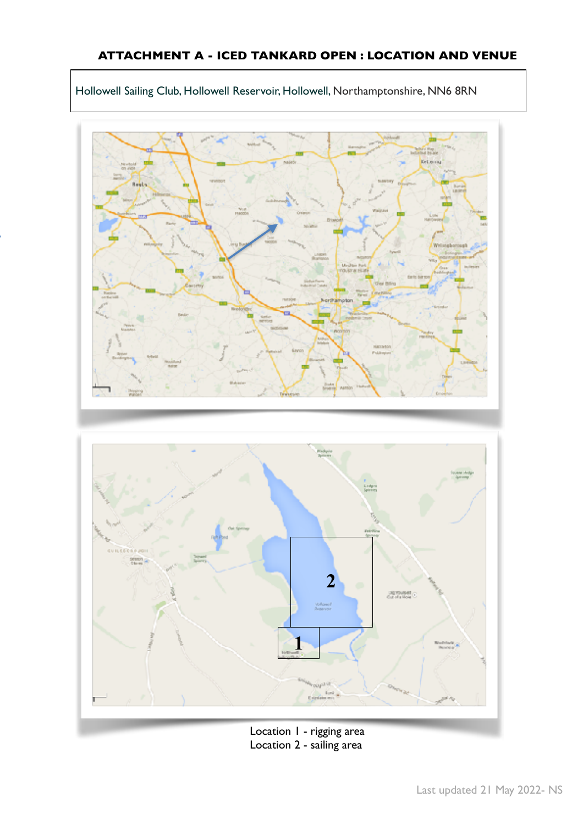





Location 1 - rigging area Location 2 - sailing area